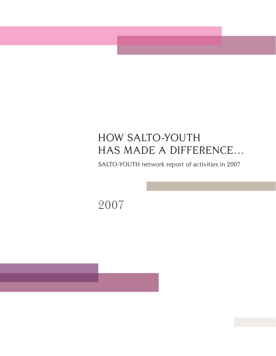# HOW SALTO-YOUTH HAS MADE A DIFFERENCE...

SALTO-YOUTH network report of activities in 2007

2007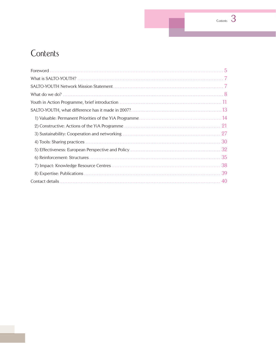# Contents

|    | 5   |
|----|-----|
|    |     |
|    |     |
|    |     |
|    |     |
|    |     |
|    |     |
| 2) |     |
|    | -27 |
|    | 30  |
|    | 32  |
|    |     |
|    | 38  |
|    | 39  |
|    |     |

 $rac{3}{5}$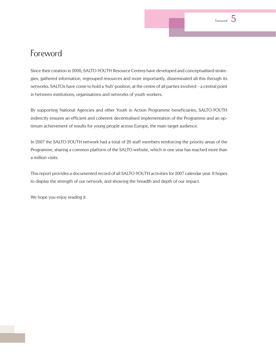

# Foreword

Since their creation in 2000, SALTO-YOUTH Resource Centres have developed and conceptualised strategies, gathered information, regrouped resources and more importantly, disseminated all this through its networks. SALTOs have come to hold a 'hub' position, at the centre of all parties involved – a central point in between institutions, organisations and networks of youth workers.

By supporting National Agencies and other Youth in Action Programme beneficiaries, SALTO-YOUTH indirectly ensures an efficient and coherent decentralised implementation of the Programme and an optimum achievement of results for young people across Europe, the main target audience.

In 2007 the SALTO-YOUTH network had a total of 20 staff members reinforcing the priority areas of the Programme, sharing a common platform of the SALTO website, which in one year has reached more than a million visits.

This report provides a documented record of all SALTO-YOUTH activities for 2007 calendar year. It hopes to display the strength of our network, and showing the breadth and depth of our impact.

We hope you enjoy reading it.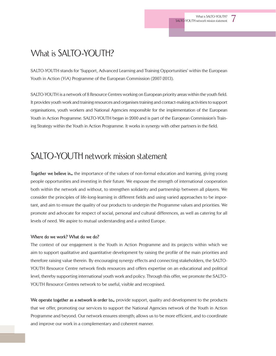# What is SALTO-YOUTH?

SALTO-YOUTH stands for 'Support, Advanced Learning and Training Opportunities' within the European Youth in Action (YiA) Programme of the European Commission (2007-2013).

SALTO-YOUTH is a network of 8 Resource Centres working on European priority areas within the youth field. It provides youth work and training resources and organises training and contact-making activities to support organisations, youth workers and National Agencies responsible for the implementation of the European Youth in Action Programme. SALTO-YOUTH began in 2000 and is part of the European Commission's Training Strategy within the Youth in Action Programme. It works in synergy with other partners in the field.

# SALTO-YOUTH network mission statement

**Together we believe in…** the importance of the values of non-formal education and learning, giving young people opportunities and investing in their future. We espouse the strength of international cooperation both within the network and without, to strengthen solidarity and partnership between all players. We consider the principles of life-long-learning in different fields and using varied approaches to be important, and aim to ensure the quality of our products to underpin the Programme values and priorities. We promote and advocate for respect of social, personal and cultural differences, as well as catering for all levels of need. We aspire to mutual understanding and a united Europe.

#### **Where do we work? What do we do?**

The context of our engagement is the Youth in Action Programme and its projects within which we aim to support qualitative and quantitative development by raising the profile of the main priorities and therefore raising value therein. By encouraging synergy effects and connecting stakeholders, the SALTO-YOUTH Resource Centre network finds resources and offers expertise on an educational and political level, thereby supporting international youth work and policy. Through this offer, we promote the SALTO-YOUTH Resource Centres network to be useful, visible and recognised.

**We operate together as a network in order to…** provide support, quality and development to the products that we offer, promoting our services to support the National Agencies network of the Youth in Action Programme and beyond. Our network ensures strength; allows us to be more efficient, and to coordinate and improve our work in a complementary and coherent manner.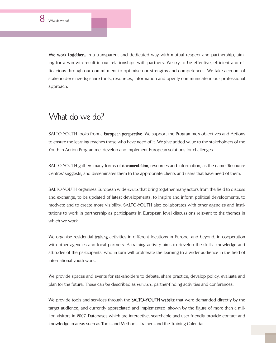**We work together…** in a transparent and dedicated way with mutual respect and partnership, aiming for a win-win result in our relationships with partners. We try to be effective, efficient and efficacious through our commitment to optimise our strengths and competences. We take account of stakeholder's needs; share tools, resources, information and openly communicate in our professional approach.

## What do we do?

SALTO-YOUTH looks from a **European perspective**. We support the Programme's objectives and Actions to ensure the learning reaches those who have need of it. We give added value to the stakeholders of the Youth in Action Programme, develop and implement European solutions for challenges.

SALTO-YOUTH gathers many forms of **documentation**, resources and information, as the name 'Resource Centres' suggests, and disseminates them to the appropriate clients and users that have need of them.

SALTO-YOUTH organises European wide **events** that bring together many actors from the field to discuss and exchange, to be updated of latest developments, to inspire and inform political developments, to motivate and to create more visibility. SALTO-YOUTH also collaborates with other agencies and institutions to work in partnership as participants in European level discussions relevant to the themes in which we work.

We organise residential **training** activities in different locations in Europe, and beyond, in cooperation with other agencies and local partners. A training activity aims to develop the skills, knowledge and attitudes of the participants, who in turn will proliferate the learning to a wider audience in the field of international youth work.

We provide spaces and events for stakeholders to debate, share practice, develop policy, evaluate and plan for the future. These can be described as **seminars**, partner-finding activities and conferences.

We provide tools and services through the **SALTO-YOUTH website** that were demanded directly by the target audience, and currently appreciated and implemented, shown by the figure of more than a million visitors in 2007. Databases which are interactive, searchable and user-friendly provide contact and knowledge in areas such as Tools and Methods, Trainers and the Training Calendar.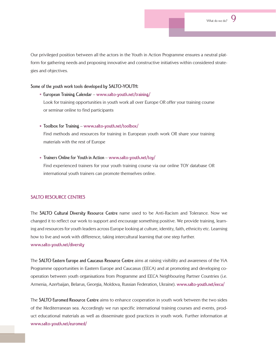

Our privileged position between all the actors in the Youth in Action Programme ensures a neutral platform for gathering needs and proposing innovative and constructive initiatives within considered strategies and objectives.

#### **Some of the youth work tools developed by SALTO-YOUTH:**

- **European Training Calendar www.salto-youth.net/training/** Look for training opportunities in youth work all over Europe OR offer your training course or seminar online to find participants
- **Toolbox for Training www.salto-youth.net/toolbox/**

international youth trainers can promote themselves online.

 Find methods and resources for training in European youth work OR share your training materials with the rest of Europe

**Trainers Online for Youth in Action** – **www.salto-youth.net/toy/** Find experienced trainers for your youth training course via our online TOY database OR

#### **SALTO RESOURCE CENTRES**

The **SALTO Cultural Diversity Resource Centre** name used to be Anti-Racism and Tolerance. Now we changed it to reflect our work to support and encourage something positive. We provide training, learning and resources for youth leaders across Europe looking at culture, identity, faith, ethnicity etc. Learning how to live and work with difference, taking intercultural learning that one step further. **www.salto-youth.net/diversity**

The **SALTO Eastern Europe and Caucasus Resource Centre** aims at raising visibility and awareness of the YiA Programme opportunities in Eastern Europe and Caucasus (EECA) and at promoting and developing cooperation between youth organisations from Programme and EECA Neighbouring Partner Countries (i.e. Armenia, Azerbaijan, Belarus, Georgia, Moldova, Russian Federation, Ukraine). **www.salto-youth.net/eeca/** 

The **SALTO Euromed Resource Centre** aims to enhance cooperation in youth work between the two sides of the Mediterranean sea. Accordingly we run specific international training courses and events, product educational materials as well as disseminate good practices in youth work. Further information at **www.salto-youth.net/euromed/**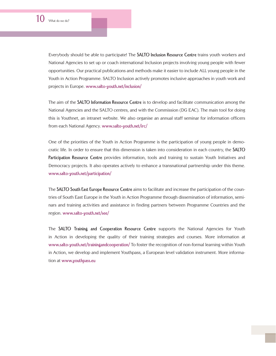Everybody should be able to participate! The **SALTO Inclusion Resource Centre** trains youth workers and National Agencies to set up or coach international Inclusion projects involving young people with fewer opportunities. Our practical publications and methods make it easier to include ALL young people in the Youth in Action Programme. SALTO Inclusion actively promotes inclusive approaches in youth work and projects in Europe. **www.salto-youth.net/inclusion/** 

The aim of the **SALTO Information Resource Centre** is to develop and facilitate communication among the National Agencies and the SALTO centres, and with the Commission (DG EAC). The main tool for doing this is Youthnet, an intranet website. We also organise an annual staff seminar for information officers from each National Agency. **www.salto-youth.net/irc/** 

One of the priorities of the Youth in Action Programme is the participation of young people in democratic life. In order to ensure that this dimension is taken into consideration in each country, the **SALTO Participation Resource Centre** provides information, tools and training to sustain Youth Initiatives and Democracy projects. It also operates actively to enhance a transnational partnership under this theme. **www.salto-youth.net/participation/**

The **SALTO South East Europe Resource Centre** aims to facilitate and increase the participation of the countries of South East Europe in the Youth in Action Programme through dissemination of information, seminars and training activities and assistance in finding partners between Programme Countries and the region. **www.salto-youth.net/see/** 

The **SALTO Training and Cooperation Resource Centre** supports the National Agencies for Youth in Action in developing the quality of their training strategies and courses. More information at **www.salto-youth.net/trainingandcooperation/** To foster the recognition of non-formal learning within Youth in Action, we develop and implement Youthpass, a European level validation instrument. More information at **www.youthpass.eu**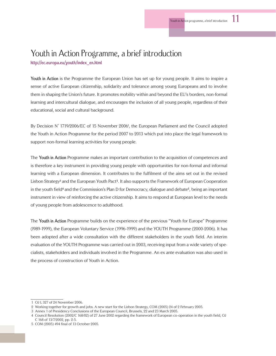## Youth in Action Programme, a brief introduction

**http://ec.europa.eu/youth/index\_en.html** 

**Youth in Action** is the Programme the European Union has set up for young people. It aims to inspire a sense of active European citizenship, solidarity and tolerance among young Europeans and to involve them in shaping the Union's future. It promotes mobility within and beyond the EU's borders, non-formal learning and intercultural dialogue, and encourages the inclusion of all young people, regardless of their educational, social and cultural background.

By Decision N° 1719/2006/EC of 15 November 2006<sup>1</sup>, the European Parliament and the Council adopted the Youth in Action Programme for the period 2007 to 2013 which put into place the legal framework to support non-formal learning activities for young people.

The **Youth in Action** Programme makes an important contribution to the acquisition of competences and is therefore a key instrument in providing young people with opportunities for non-formal and informal learning with a European dimension. It contributes to the fulfilment of the aims set out in the revised Lisbon Strategy**<sup>2</sup>** and the European Youth Pact**<sup>3</sup>** . It also supports the Framework of European Cooperation in the youth field**<sup>4</sup>** and the Commission's Plan D for Democracy, dialogue and debate**<sup>5</sup>** , being an important instrument in view of reinforcing the active citizenship. It aims to respond at European level to the needs of young people from adolescence to adulthood.

The **Youth in Action** Programme builds on the experience of the previous "Youth for Europe" Programme (l989-1999), the European Voluntary Service (1996-1999) and the YOUTH Programme (2000-2006). It has been adopted after a wide consultation with the different stakeholders in the youth field. An interim evaluation of the YOUTH Programme was carried out in 2003, receiving input from a wide variety of specialists, stakeholders and individuals involved in the Programme. An ex ante evaluation was also used in the process of construction of Youth in Action.

 <sup>1</sup> OJ L 327 of 24 November 2006.

 <sup>2</sup> Working together for growth and jobs. A new start for the Lisbon Strategy, COM (2005) 24 of 2 February 2005.

 <sup>3</sup> Annex 1 of Presidency Conclusions of the European Council, Brussels, 22 and 23 March 2005.

 <sup>4</sup> Council Resolution (2002/C 168/02) of 27 June 2002 regarding the framework of European co-operation in the youth field, OJ C 168 of 13/7/2002, pp. 2-5.

 <sup>5</sup> COM (2005) 494 final of 13 October 2005.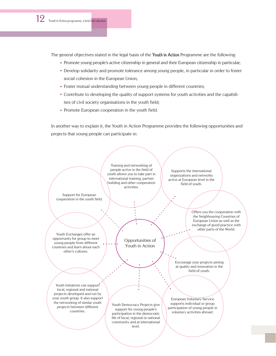The general objectives stated in the legal basis of the **Youth in Action** Programme are the following:

- Promote young people's active citizenship in general and their European citizenship in particular;
- Develop solidarity and promote tolerance among young people, in particular in order to foster social cohesion in the European Union;
- Foster mutual understanding between young people in different countries;
- Contribute to developing the quality of support systems for youth activities and the capabilities of civil society organisations in the youth field;
- Promote European cooperation in the youth field.

In another way to explain it, the Youth in Action Programme provides the following opportunities and projects that young people can participate in:

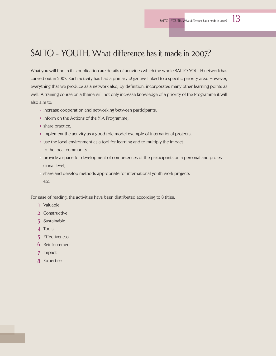# SALTO - YOUTH, What difference has it made in 2007?

What you will find in this publication are details of activities which the whole SALTO-YOUTH network has carried out in 2007. Each activity has had a primary objective linked to a specific priority area. However, everything that we produce as a network also, by definition, incorporates many other learning points as well. A training course on a theme will not only increase knowledge of a priority of the Programme it will also aim to:

- increase cooperation and networking between participants,
- inform on the Actions of the YiA Programme,
- <sup>n</sup> share practice,
- implement the activity as a good role model example of international projects,
- use the local environment as a tool for learning and to multiply the impact to the local community
- provide a space for development of competences of the participants on a personal and professional level,
- share and develop methods appropriate for international youth work projects etc.

For ease of reading, the activities have been distributed according to 8 titles.

- **1** Valuable
- **2** Constructive
- **3** Sustainable
- **4** Tools
- **5** Effectiveness
- **6** Reinforcement
- **7** Impact
- **8** Expertise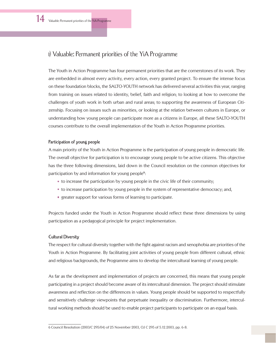## 1) Valuable: Permanent priorities of the YiA Programme

The Youth in Action Programme has four permanent priorities that are the cornerstones of its work. They are embedded in almost every activity, every action, every granted project. To ensure the intense focus on these foundation blocks, the SALTO-YOUTH network has delivered several activities this year, ranging from training on issues related to identity, belief, faith and religion; to looking at how to overcome the challenges of youth work in both urban and rural areas; to supporting the awareness of European Citizenship. Focusing on issues such as minorities, or looking at the relation between cultures in Europe, or understanding how young people can participate more as a citizens in Europe, all these SALTO-YOUTH courses contribute to the overall implementation of the Youth in Action Programme priorities.

#### **Participation of young people**

A main priority of the Youth in Action Programme is the participation of young people in democratic life. The overall objective for participation is to encourage young people to be active citizens. This objective has the three following dimensions, laid down in the Council resolution on the common objectives for participation by and information for young people<sup>6</sup>:

- to increase the participation by young people in the civic life of their community;
- to increase participation by young people in the system of representative democracy; and,
- greater support for various forms of learning to participate.

Projects funded under the Youth in Action Programme should reflect these three dimensions by using participation as a pedagogical principle for project implementation.

#### **Cultural Diversity**

The respect for cultural diversity together with the fight against racism and xenophobia are priorities of the Youth in Action Programme. By facilitating joint activities of young people from different cultural, ethnic and religious backgrounds, the Programme aims to develop the intercultural learning of young people.

As far as the development and implementation of projects are concerned, this means that young people participating in a project should become aware of its intercultural dimension. The project should stimulate awareness and reflection on the differences in values. Young people should be supported to respectfully and sensitively challenge viewpoints that perpetuate inequality or discrimination. Furthermore, intercultural working methods should be used to enable project participants to participate on an equal basis.

<sup>6</sup> Council Resolution (2003/C 295/04) of 25 November 2003, OJ C 295 of 5.12.2003, pp. 6-8.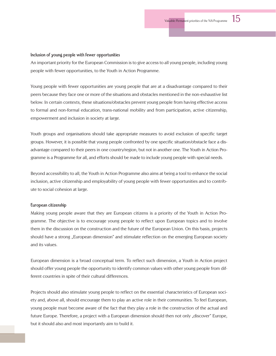#### **Inclusion of young people with fewer opportunities**

An important priority for the European Commission is to give access to all young people, including young people with fewer opportunities, to the Youth in Action Programme.

Young people with fewer opportunities are young people that are at a disadvantage compared to their peers because they face one or more of the situations and obstacles mentioned in the non-exhaustive list below. In certain contexts, these situations/obstacles prevent young people from having effective access to formal and non-formal education, trans-national mobility and from participation, active citizenship, empowerment and inclusion in society at large.

Youth groups and organisations should take appropriate measures to avoid exclusion of specific target groups. However, it is possible that young people confronted by one specific situation/obstacle face a disadvantage compared to their peers in one country/region, but not in another one. The Youth in Action Programme is a Programme for all, and efforts should be made to include young people with special needs.

Beyond accessibility to all, the Youth in Action Programme also aims at being a tool to enhance the social inclusion, active citizenship and employability of young people with fewer opportunities and to contribute to social cohesion at large.

#### **European citizenship**

Making young people aware that they are European citizens is a priority of the Youth in Action Programme. The objective is to encourage young people to reflect upon European topics and to involve them in the discussion on the construction and the future of the European Union. On this basis, projects should have a strong "European dimension" and stimulate reflection on the emerging European society and its values.

European dimension is a broad conceptual term. To reflect such dimension, a Youth in Action project should offer young people the opportunity to identify common values with other young people from different countries in spite of their cultural differences.

Projects should also stimulate young people to reflect on the essential characteristics of European society and, above all, should encourage them to play an active role in their communities. To feel European, young people must become aware of the fact that they play a role in the construction of the actual and future Europe. Therefore, a project with a European dimension should then not only "discover" Europe, but it should also and most importantly aim to build it.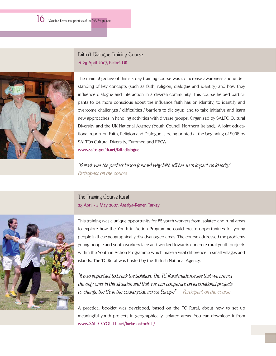16 Valuable: Permanent priorities of the YiA Programme



Faith & Dialogue Training Course **21-28 April 2007, Belfast UK**

The main objective of this six day training course was to increase awareness and understanding of key concepts (such as faith, religion, dialogue and identity) and how they influence dialogue and interaction in a diverse community. This course helped participants to be more conscious about the influence faith has on identity; to identify and overcome challenges / difficulties / barriers to dialogue and to take initiative and learn new approaches in handling activities with diverse groups. Organised by SALTO Cultural Diversity and the UK National Agency (Youth Council Northern Ireland). A joint educational report on Faith, Religion and Dialogue is being printed at the beginning of 2008 by SALTOs Cultural Diversity, Euromed and EECA. **www.salto-youth.net/faithdialogue**

"Belfast was the perfect lesson (murals) why faith still has such impact on identity" Participant on the course

#### The Training Course Rural **28 April - 4 May 2007, Antalya-Kemer, Turkey**



This training was a unique opportunity for 25 youth workers from isolated and rural areas to explore how the Youth in Action Programme could create opportunities for young people in these geographically disadvantaged areas. The course addressed the problems young people and youth workers face and worked towards concrete rural youth projects within the Youth in Action Programme which make a vital difference in small villages and islands. The TC Rural was hosted by the Turkish National Agency.

"It is so important to break the isolation. The TC Rural made me see that we are not the only ones in this situation and that we can cooperate on international projects to change the life in the countryside across Europe" Participant on the course

A practical booklet was developed, based on the TC Rural, about how to set up meaningful youth projects in geographically isolated areas. You can download it from **www.SALTO-YOUTH.net/InclusionForALL/**.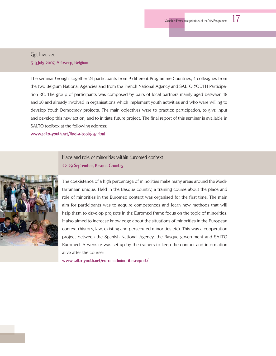#### Get Involved **3-8 July 2007, Antwerp, Belgium**

The seminar brought together 24 participants from 9 different Programme Countries, 4 colleagues from the two Belgium National Agencies and from the French National Agency and SALTO YOUTH Participation RC. The group of participants was composed by pairs of local partners mainly aged between 18 and 30 and already involved in organisations which implement youth activities and who were willing to develop Youth Democracy projects. The main objectives were to practice participation, to give input and develop this new action, and to initiate future project. The final report of this seminar is available in SALTO toolbox at the following address:

**www.salto-youth.net/find-a-tool/847.html**

Place and role of minorities within Euromed context **22-29 September, Basque Country**



The coexistence of a high percentage of minorities make many areas around the Mediterranean unique. Held in the Basque country, a training course about the place and role of minorities in the Euromed context was organised for the first time. The main aim for participants was to acquire competences and learn new methods that will help them to develop projects in the Euromed frame focus on the topic of minorities. It also aimed to increase knowledge about the situations of minorities in the European context (history, law, existing and persecuted minorities etc). This was a cooperation project between the Spanish National Agency, the Basque government and SALTO Euromed. A website was set up by the trainers to keep the contact and information alive after the course:

**www.salto-youth.net/euromedminoritiesreport/**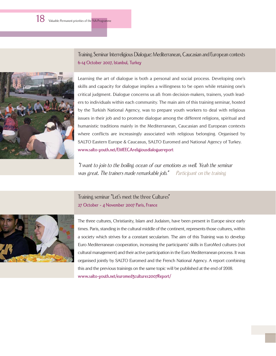Training Seminar Interreligious Dialogue: Mediterranean, Caucasian and European contexts **6-14 October 2007, Istanbul, Turkey**



Learning the art of dialogue is both a personal and social process. Developing one's skills and capacity for dialogue implies a willingness to be open while retaining one's critical judgment. Dialogue concerns us all: from decision-makers, trainers, youth leaders to individuals within each community. The main aim of this training seminar, hosted by the Turkish National Agency, was to prepare youth workers to deal with religious issues in their job and to promote dialogue among the different religions, spiritual and humanistic traditions mainly in the Mediterranean, Caucasian and European contexts where conflicts are increasingly associated with religious belonging. Organised by SALTO Eastern Europe & Caucasus, SALTO Euromed and National Agency of Turkey. **www.salto-youth.net/EMEECAreligiousdialoguereport**

"I want to join to the boiling ocean of our emotions as well. Yeah the seminar was great. The trainers made remarkable job." Participant on the training

Training seminar "Let's meet the three Cultures" **27 October - 4 November 2007 Paris, France**



The three cultures, Christianity, Islam and Judaism, have been present in Europe since early times. Paris, standing in the cultural middle of the continent, represents those cultures, within a society which strives for a constant secularism. The aim of this Training was to develop Euro Mediterranean cooperation, increasing the participants' skills in EuroMed cultures (not cultural management) and their active participation in the Euro Mediterranean process. It was organised jointly by SALTO Euromed and the French National Agency. A report combining this and the previous trainings on the same topic will be published at the end of 2008. **www.salto-youth.net/euromed3cultures2007Report/**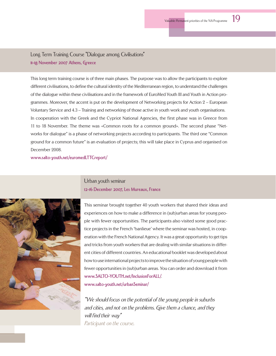Long Term Training Course "Dialogue among Civilisations" **11-18 November 2007 Athens, Greece**

This long term training course is of three main phases. The purpose was to allow the participants to explore different civilisations, to define the cultural identity of the Mediterranean region, to understand the challenges of the dialogue within these civilisations and in the framework of EuroMed Youth III and Youth in Action programmes. Moreover, the accent is put on the development of Networking projects for Action 2 – European Voluntary Service and 4.3 – Training and networking of those active in youth work and youth organisations. In cooperation with the Greek and the Cypriot National Agencies, the first phase was in Greece from 11 to 18 November. The theme was «Common roots for a common ground». The second phase "Networks for dialogue" is a phase of networking projects according to participants. The third one "Common ground for a common future" is an evaluation of projects; this will take place in Cyprus and organised on December 2008.

**www.salto-youth.net/euromedLTTCreport/**



Urban youth seminar **12-16 December 2007, Les Mureaux, France**

This seminar brought together 40 youth workers that shared their ideas and experiences on how to make a difference in (sub)urban areas for young people with fewer opportunities. The participants also visited some good practice projects in the French 'banlieue' where the seminar was hosted, in cooperation with the French National Agency. It was a great opportunity to get tips and tricks from youth workers that are dealing with similar situations in different cities of different countries. An educational booklet was developed about how to use international projects to improve the situation of young people with fewer opportunities in (sub)urban areas. You can order and download it from **www.SALTO-YOUTH.net/InclusionForALL/**. **www.salto-youth.net/urbanSeminar/**

"We should focus on the potential of the young people in suburbs and cities, and not on the problems. Give them a chance, and they will find their way" Participant on the course.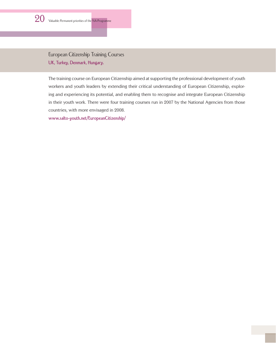

European Citizenship Training Courses **UK, Turkey, Denmark, Hungary.** 

The training course on European Citizenship aimed at supporting the professional development of youth workers and youth leaders by extending their critical understanding of European Citizenship, exploring and experiencing its potential, and enabling them to recognise and integrate European Citizenship in their youth work. There were four training courses run in 2007 by the National Agencies from those countries, with more envisaged in 2008.

**www.salto-youth.net/EuropeanCitizenship/**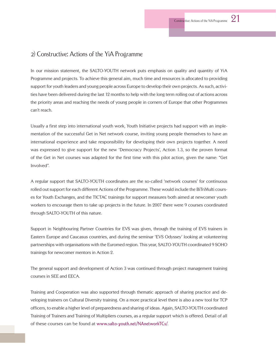#### 2) Constructive: Actions of the YiA Programme

In our mission statement, the SALTO-YOUTH network puts emphasis on quality and quantity of YiA Programme and projects. To achieve this general aim, much time and resources is allocated to providing support for youth leaders and young people across Europe to develop their own projects. As such, activities have been delivered during the last 12 months to help with the long term rolling out of actions across the priority areas and reaching the needs of young people in corners of Europe that other Programmes can't reach.

Usually a first step into international youth work, Youth Initiative projects had support with an implementation of the successful Get in Net network course, inviting young people themselves to have an international experience and take responsibility for developing their own projects together. A need was expressed to give support for the new 'Democracy Projects', Action 1.3, so the proven format of the Get in Net courses was adapted for the first time with this pilot action, given the name: "Get Involved".

A regular support that SALTO-YOUTH coordinates are the so-called 'network courses' for continuous rolled out support for each different Actions of the Programme. These would include the BiTriMulti courses for Youth Exchanges, and the TICTAC trainings for support measures both aimed at newcomer youth workers to encourage them to take up projects in the future. In 2007 there were 9 courses coordinated through SALTO-YOUTH of this nature.

Support in Neighbouring Partner Countries for EVS was given, through the training of EVS trainers in Eastern Europe and Caucasus countries, and during the seminar 'EVS Odyssey' looking at volunteering partnerships with organisations with the Euromed region. This year, SALTO-YOUTH coordinated 9 SOHO trainings for newcomer mentors in Action 2.

The general support and development of Action 3 was continued through project management training courses in SEE and EECA.

Training and Cooperation was also supported through thematic approach of sharing practice and developing trainers on Cultural Diversity training. On a more practical level there is also a new tool for TCP officers, to enable a higher level of preparedness and sharing of ideas. Again, SALTO-YOUTH coordinated Training of Trainers and Training of Multipliers courses, as a regular support which is offered. Detail of all of these courses can be found at **www.salto-youth.net/NAnetworkTCs/**.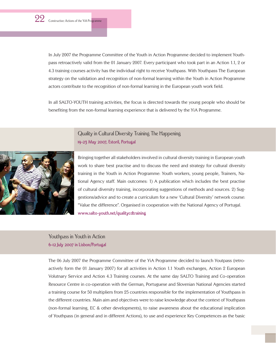In July 2007 the Programme Committee of the Youth in Action Programme decided to implement Youthpass retroactively valid from the 01 January 2007. Every participant who took part in an Action 1.1, 2 or 4.3 training courses activity has the individual right to receive Youthpass. With Youthpass The European strategy on the validation and recognition of non-formal learning within the Youth in Action Programme actors contribute to the recognition of non-formal learning in the European youth work field.

In all SALTO-YOUTH training activities, the focus is directed towards the young people who should be benefiting from the non-formal learning experience that is delivered by the YiA Programme.

#### Quality in Cultural Diversity Training The Happening **19-23 May 2007, Estoril, Portugal**



Bringing together all stakeholders involved in cultural diversity training in European youth work to share best practise and to discuss the need and strategy for cultural diversity training in the Youth in Action Programme: Youth workers, young people, Trainers, National Agency staff. Main outcomes: 1) A publication which includes the best practise of cultural diversity training, incorporating suggestions of methods and sources. 2) Suggestions/advice and to create a curriculum for a new 'Cultural Diversity' network course: "Value the difference". Organised in cooperation with the National Agency of Portugal. **www.salto-youth.net/qualitycdtraining**

Youthpass in Youth in Action **6-12 July 2007 in Lisbon/Portugal** 

The 06 July 2007 the Programme Committee of the YiA Programme decided to launch Youtpass (retroactively form the 01 January 2007) for all activities in Action 1.1 Youth exchanges, Action 2 European Volutnary Service and Action 4.3 Training courses. At the same day SALTO Training and Co-operation Resource Centre in co-operation with the German, Portuguese and Slovenian National Agencies started a training course for 50 multipliers from 25 countries responsible for the implementation of Youthpass in the different countries. Main aim and objectives were to raise knowledge about the context of Youthpass (non-formal learning, EC & other developments), to raise awareness about the educational implication of Youthpass (in general and in different Actions), to use and experience Key Competences as the basic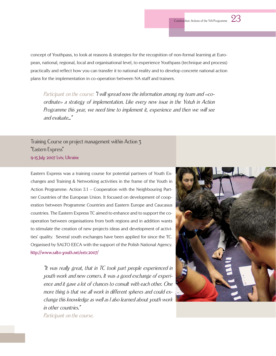concept of Youthpass, to look at reasons & strategies for the recognition of non-formal learning at European, national, regional, local and organisational level, to experience Youthpass (technique and process) practically and reflect how you can transfer it to national reality and to develop concrete national action plans for the implementation in co-operation between NA staff and trainers.

Participant on the course:  $\mathbb {I}$  will spread now the information among my team and  $\ll$ coordinate» a strategy of implementation. Like every new issue in the Yotuh in Action Programme this year, we need time to implement it, experience and then we will see and evaluate…"

Training Course on project management within Action 3 "Eastern Express" **9-15 July 2007 Lviv, Ukraine**

Eastern Express was a training course for potential partners of Youth Exchanges and Training & Networking activities in the frame of the Youth in Action Programme: Action 3.1 – Cooperation with the Neighbouring Partner Countries of the European Union. It focused on development of cooperation between Programme Countries and Eastern Europe and Caucasus countries. The Eastern Express TC aimed to enhance and to support the cooperation between organisations from both regions and in addition wants to stimulate the creation of new projects ideas and development of activities' quality. Several youth exchanges have been applied for since the TC. Organised by SALTO EECA with the support of the Polish National Agency. **http://www.salto-youth.net/eetc2007/**

"It was really great, that in TC took part people experienced in youth work and new comers. It was a good exchange of experience and it gave a lot of chances to consult with each other. One more thing is that we all work in different spheres and could exchange this knowledge as well as I also learned about youth work in other countries."

Participant on the course.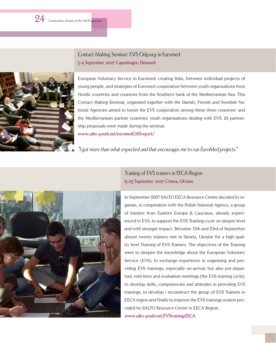Contact Making Seminar: EVS Odyssey in Euromed **5-9 September 2007 Copenhagen, Denmark**



European Voluntary Service in Euromed: creating links, between individual projects of young people, and strategies of Euromed cooperation between youth organisations from Nordic countries and countries from the Southern bank of the Mediterranean Sea. This Contact Making Seminar, organised together with the Danish, Finnish and Swedish National Agencies aimed to boost the EVS cooperation among these three countries' and the Mediterranean partner countries' youth organisations dealing with EVS. 26 partnership proposals were made during the seminar. **www.salto-youth.net/euromedCMSreport/**

"I got more than what expected and that encourages me to run EuroMed projects."



Training of EVS trainers in EECA Region **15-23 September 2007 Crimea, Ukraine**

In September 2007 SALTO EECA Resource Centre decided to organise, in cooperation with the Polish National Agency, a group of trainers from Eastern Europe & Caucasus, already experienced in EVS, to support the EVS Training cycle on deeper level and with stronger impact. Between 15th and 23rd of September almost twenty trainers met in Simeiz, Ukraine for a high quality level Training of EVS Trainers. The objectives of the Training were to deepen the knowledge about the European Voluntary Service (EVS), to exchange experience in organising and providing EVS trainings, especially on-arrival, but also pre-departure, mid-term and evaluation meetings (the EVS training cycle), to develop skills, competencies and attitudes in providing EVS trainings, to develop / reconstruct the group of EVS Trainers in EECA region and finally to improve the EVS trainings system provided by SALTO Resource Centre in EECA Region.

**www.salto-youth.net/EVStrainingsEECA**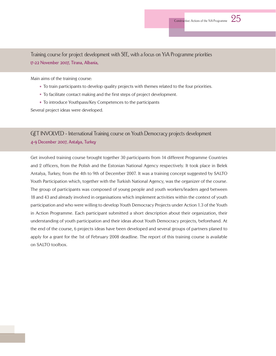

Main aims of the training course:

- To train participants to develop quality projects with themes related to the four priorities.
- To facilitate contact making and the first steps of project development.
- To introduce Youthpass/Key Competences to the participants

Several project ideas were developed.

#### GET INVOLVED - International Training course on Youth Democracy projects development **4-9 December 2007, Antalya, Turkey**

Get involved training course brought together 30 participants from 14 different Programme Countries and 2 officers, from the Polish and the Estonian National Agency respectively. It took place in Belek Antalya, Turkey, from the 4th to 9th of December 2007. It was a training concept suggested by SALTO Youth Participation which, together with the Turkish National Agency, was the organizer of the course. The group of participants was composed of young people and youth workers/leaders aged between 18 and 43 and already involved in organisations which implement activities within the context of youth participation and who were willing to develop Youth Democracy Projects under Action 1.3 of the Youth in Action Programme. Each participant submitted a short description about their organization, their understanding of youth participation and their ideas about Youth Democracy projects, beforehand. At the end of the course, 6 projects ideas have been developed and several groups of partners planed to apply for a grant for the 1st of February 2008 deadline. The report of this training course is available on SALTO toolbox.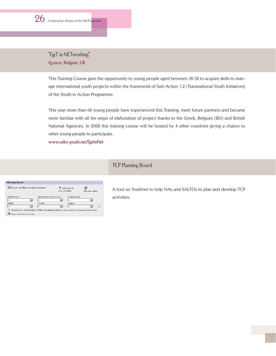### "GeT in NETworking" **Greece, Belgium, UK**

This Training Course gave the opportunity to young people aged between 18-30 to acquire skills to manage international youth projects within the framework of Sub-Action 1.2 (Transnational Youth Initiatives) of the Youth in Action Programme.

This year more than 60 young people have experienced this Training, meet future partners and became more familiar with all the steps of elaboration of project thanks to the Greek, Belgium (BIJ) and British National Agencies. In 2008 this training course will be hosted by 4 other countries giving a chance to other young people to participate.

**www.salto-youth.net/GetinNet**

### TCP Planning Board

| <b>EXI</b> Search and filter the planning board |                         | $\nabla$ Subscribe to<br>new activities |              | Add New Item |
|-------------------------------------------------|-------------------------|-----------------------------------------|--------------|--------------|
| Activity type                                   | Open/Closed for joining |                                         | Target group |              |
| $\sim$ $\sim$                                   | $\sim$                  |                                         |              |              |
| Action                                          | Priority                |                                         | Region       |              |
| $\sim$ $\sim$                                   | $\overline{a}$          |                                         | $-1$         |              |

A tool on Youthnet to help NAs and SALTOs to plan and develop TCP activities.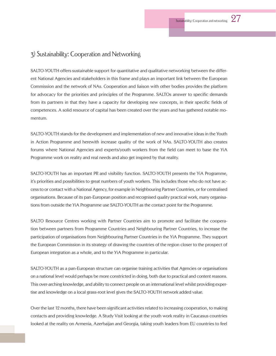### 3) Sustainability: Cooperation and Networking

SALTO-YOUTH offers sustainable support for quantitative and qualitative networking between the different National Agencies and stakeholders in this frame and plays an important link between the European Commission and the network of NAs. Cooperation and liaison with other bodies provides the platform for advocacy for the priorities and principles of the Programme. SALTOs answer to specific demands from its partners in that they have a capacity for developing new concepts, in their specific fields of competences. A solid resource of capital has been created over the years and has gathered notable momentum.

SALTO-YOUTH stands for the development and implementation of new and innovative ideas in the Youth in Action Programme and herewith increase quality of the work of NAs. SALTO-YOUTH also creates forums where National Agencies and experts/youth workers from the field can meet to base the YiA Programme work on reality and real needs and also get inspired by that reality.

SALTO-YOUTH has an important PR and visibility function. SALTO-YOUTH presents the YiA Programme, it's priorities and possibilities to great numbers of youth workers. This includes those who do not have access to or contact with a National Agency, for example in Neighbouring Partner Countries, or for centralised organisations. Because of its pan-European position and recognised quality practical work, many organisations from outside the YiA Programme use SALTO-YOUTH as the contact point for the Programme.

SALTO Resource Centres working with Partner Countries aim to promote and facilitate the cooperation between partners from Programme Countries and Neighbouring Partner Countries, to increase the participation of organisations from Neighbouring Partner Countries in the YiA Programme. They support the European Commission in its strategy of drawing the countries of the region closer to the prospect of European integration as a whole, and to the YiA Programme in particular.

SALTO-YOUTH as a pan-European structure can organise training activities that Agencies or organisations on a national level would perhaps be more constricted in doing, both due to practical and content reasons. This over-arching knowledge, and ability to connect people on an international level whilst providing expertise and knowledge on a local grass-root level gives the SALTO-YOUTH network added value.

Over the last 12 months, there have been significant activities related to increasing cooperation, to making contacts and providing knowledge. A Study Visit looking at the youth work reality in Caucasus countries looked at the reality on Armenia, Azerbaijan and Georgia, taking youth leaders from EU countries to feel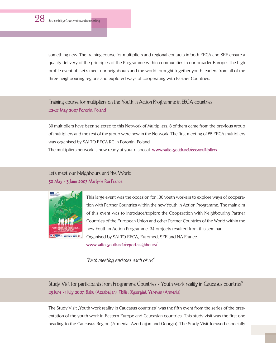something new. The training course for multipliers and regional contacts in both EECA and SEE ensure a quality delivery of the principles of the Programme within communities in our broader Europe. The high profile event of 'Let's meet our neighbours and the world' brought together youth leaders from all of the three neighbouring regions and explored ways of cooperating with Partner Countries.

Training course for multipliers on the Youth in Action Programme in EECA countries **22-27 May 2007 Poronin, Poland**

30 multipliers have been selected to this Network of Multipliers, 8 of them came from the previous group of multipliers and the rest of the group were new in the Network. The first meeting of 25 EECA multipliers was organised by SALTO EECA RC in Poronin, Poland.

The multipliers network is now ready at your disposal. **www.salto-youth.net/eecamultipliers**

Let's meet our Neighbours and the World **30 May - 3 June 2007 Marly-le Roi France**



This large event was the occasion for 130 youth workers to explore ways of cooperation with Partner Countries within the new Youth in Action Programme. The main aim of this event was to introduce/explore the Cooperation with Neighbouring Partner Countries of the European Union and other Partner Countries of the World within the new Youth in Action Programme. 34 projects resulted from this seminar. Organised by SALTO EECA, Euromed, SEE and NA France. **www.salto-youth.net/reportneighbours/**

"Each meeting enriches each of us"

Study Visit for participants from Programme Countries - Youth work reality in Caucasus countries" **23 June - 1 July 2007, Baku (Azerbaijan), Tbilisi (Georgia), Yerevan (Armenia)**

The Study Visit "Youth work reality in Caucasus countries" was the fifth event from the series of the presentation of the youth work in Eastern Europe and Caucasian countries. This study visit was the first one heading to the Caucasus Region (Armenia, Azerbaijan and Georgia). The Study Visit focused especially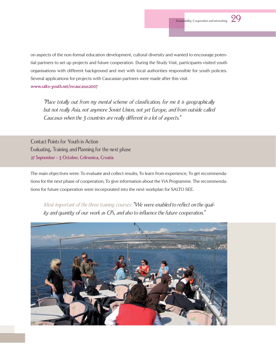on aspects of the non-formal education development, cultural diversity and wanted to encourage potential partners to set up projects and future cooperation. During the Study Visit, participants visited youth organisations with different background and met with local authorities responsible for youth policies. Several applications for projects with Caucasian partners were made after this visit.

**www.salto-youth.net/svcaucasus2007**

"Place totally out from my mental scheme of classification, for me it is geographically but not really Asia, not anymore Soviet Union, not yet Europe, and from outside called Caucasus when the 3 countries are really different in a lot of aspects."

Contact Points for Youth in Action Evaluating, Training and Planning for the next phase **27 September - 3 October, Crikvenica, Croatia**

The main objectives were: To evaluate and collect results; To learn from experience; To get recommendations for the next phase of cooperation; To give information about the YiA Programme. The recommendations for future cooperation were incorporated into the next workplan for SALTO SEE.

Most important of the three training courses: "We were enabled to reflect on the quality and quantity of our work as CPs, and also to influence the future cooperation."

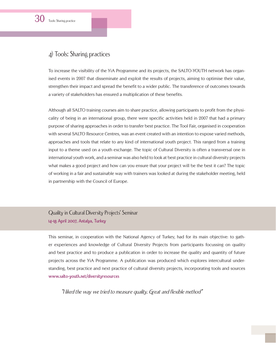30 Tools: Sharing practice

## 4) Tools: Sharing practices

To increase the visibility of the YiA Programme and its projects, the SALTO-YOUTH network has organised events in 2007 that disseminate and exploit the results of projects, aiming to optimise their value, strengthen their impact and spread the benefit to a wider public. The transference of outcomes towards a variety of stakeholders has ensured a multiplication of these benefits.

Although all SALTO training courses aim to share practice, allowing participants to profit from the physicality of being in an international group, there were specific activities held in 2007 that had a primary purpose of sharing approaches in order to transfer best practice. The Tool Fair, organised in cooperation with several SALTO Resource Centres, was an event created with an intention to expose varied methods, approaches and tools that relate to any kind of international youth project. This ranged from a training input to a theme used on a youth exchange. The topic of Cultural Diversity is often a transversal one in international youth work, and a seminar was also held to look at best practice in cultural diversity projects what makes a good project and how can you ensure that your project will be the best it can? The topic of working in a fair and sustainable way with trainers was looked at during the stakeholder meeting, held in partnership with the Council of Europe.

#### Quality in Cultural Diversity Projects' Seminar **14-18 April 2007, Antalya, Turkey**

This seminar, in cooperation with the National Agency of Turkey, had for its main objective: to gather experiences and knowledge of Cultural Diversity Projects from participants focussing on quality and best practice and to produce a publication in order to increase the quality and quantity of future projects across the YiA Programme. A publication was produced which explores intercultural understanding, best practice and next practice of cultural diversity projects, incorporating tools and sources **www.salto-youth.net/diversityresources**

"I liked the way we tried to measure quality. Great and flexible method"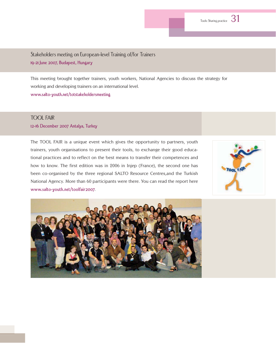Stakeholders meeting on European-level Training of/for Trainers **19-21 June 2007, Budapest, Hungary**

This meeting brought together trainers, youth workers, National Agencies to discuss the strategy for working and developing trainers on an international level. **www.salto-youth.net/totstakeholdersmeeting**

#### TOOL FAIR

#### **12-16 December 2007 Antalya, Turkey**

The TOOL FAIR is a unique event which gives the opportunity to partners, youth trainers, youth organisations to present their tools, to exchange their good educational practices and to reflect on the best means to transfer their competences and how to know. The first edition was in 2006 in Injep (France), the second one has been co-organised by the three regional SALTO Resource Centres,and the Turkish National Agency. More than 60 participants were there. You can read the report here **www.salto-youth.net/toolfair2007**.



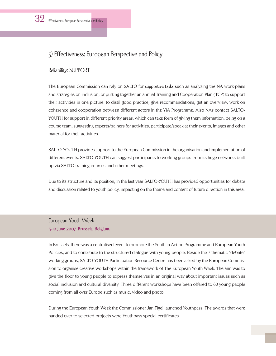## 5) Effectiveness: European Perspective and Policy

#### Reliability: SUPPORT

The European Commission can rely on SALTO for **supportive tasks** such as analysing the NA work-plans and strategies on inclusion, or putting together an annual Training and Cooperation Plan (TCP) to support their activities in one picture: to distil good practice, give recommendations, get an overview, work on coherence and cooperation between different actors in the YiA Programme. Also NAs contact SALTO-YOUTH for support in different priority areas, which can take form of giving them information, being on a course team, suggesting experts/trainers for activities, participate/speak at their events, images and other material for their activities.

SALTO-YOUTH provides support to the European Commission in the organisation and implementation of different events. SALTO-YOUTH can suggest participants to working groups from its huge networks built up via SALTO training courses and other meetings.

Due to its structure and its position, in the last year SALTO-YOUTH has provided opportunities for debate and discussion related to youth policy, impacting on the theme and content of future direction in this area.

#### European Youth Week **3-10 June 2007, Brussels, Belgium.**

In Brussels, there was a centralised event to promote the Youth in Action Programme and European Youth Policies, and to contribute to the structured dialogue with young people. Beside the 7 thematic "debate" working groups, SALTO-YOUTH Participation Resource Centre has been asked by the European Commission to organise creative workshops within the framework of The European Youth Week. The aim was to give the floor to young people to express themselves in an original way about important issues such as social inclusion and cultural diversity. Three different workshops have been offered to 60 young people coming from all over Europe such as music, video and photo.

During the European Youth Week the Commissioner Jan Figel launched Youthpass. The awards that were handed over to selected projects were Youthpass special certificates.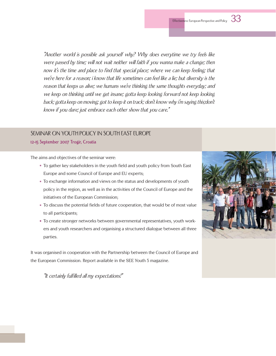"Another world is possible ask yourself why? Why does everytime we try feels like were passed by time; will not wait neither will faith if you wanna make a change; then now it's the time and place to find that special place; where we can keep feeling; that we're here for a reason; i know that life sometimes can feel like a lie; but diversity is the reason that keeps us alive; we humans we're thinking the same thoughts everyday; and we keep on thinking until we get insane; gotta keep looking forward not keep looking back; gotta keep on moving; got to keep it on track; don't know why i'm saying this;don't know if you dare; just embrace each other show that you care."

#### SEMINAR ON YOUTH POLICY IN SOUTH EAST EUROPE

**12-15 September 2007 Trogir, Croatia**

The aims and objectives of the seminar were:

- To gather key stakeholders in the youth field and youth policy from South East Europe and some Council of Europe and EU experts;
- To exchange information and views on the status and developments of youth policy in the region, as well as in the activities of the Council of Europe and the initiatives of the European Commission;
- To discuss the potential fields of future cooperation, that would be of most value to all participants;
- To create stronger networks between governmental representatives, youth workers and youth researchers and organising a structured dialogue between all three parties.

It was organised in cooperation with the Partnership between the Council of Europe and the European Commission. Report available in the SEE Youth 5 magazine.

"It certainly fulfilled all my expectations!"

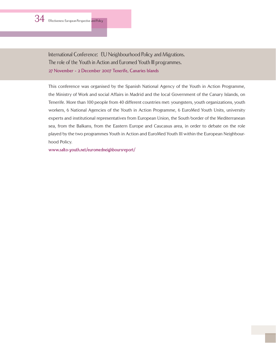International Conference: EU Neighbourhood Policy and Migrations. The role of the Youth in Action and Euromed Youth III programmes. **27 November - 2 December 2007 Tenerife, Canaries Islands**

This conference was organised by the Spanish National Agency of the Youth in Action Programme, the Ministry of Work and social Affairs in Madrid and the local Government of the Canary Islands, on Tenerife. More than 100 people from 40 different countries met: youngsters, youth organizations, youth workers, 6 National Agencies of the Youth in Action Programme, 6 EuroMed Youth Units, university experts and institutional representatives from European Union, the South border of the Mediterranean sea, from the Balkans, from the Eastern Europe and Caucasus area, in order to debate on the role played by the two programmes Youth in Action and EuroMed Youth III within the European Neighbourhood Policy.

**www.salto-youth.net/euromedneighboursreport/**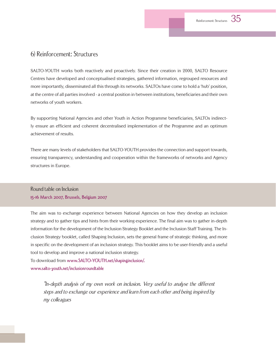### 6) Reinforcement: Structures

SALTO-YOUTH works both reactively and proactively. Since their creation in 2000, SALTO Resource Centres have developed and conceptualised strategies, gathered information, regrouped resources and more importantly, disseminated all this through its networks. SALTOs have come to hold a 'hub' position, at the centre of all parties involved - a central position in between institutions, beneficiaries and their own networks of youth workers.

By supporting National Agencies and other Youth in Action Programme beneficiaries, SALTOs indirectly ensure an efficient and coherent decentralised implementation of the Programme and an optimum achievement of results.

There are many levels of stakeholders that SALTO-YOUTH provides the connection and support towards, ensuring transparency, understanding and cooperation within the frameworks of networks and Agency structures in Europe.

#### Round table on Inclusion **15-16 March 2007, Brussels, Belgium 2007**

The aim was to exchange experience between National Agencies on how they develop an inclusion strategy and to gather tips and hints from their working experience. The final aim was to gather in-depth information for the development of the Inclusion Strategy Booklet and the Inclusion Staff Training. The Inclusion Strategy booklet, called Shaping Inclusion, sets the general frame of strategic thinking, and more in specific on the development of an inclusion strategy. This booklet aims to be user-friendly and a useful tool to develop and improve a national inclusion strategy.

To download from **www.SALTO-YOUTH.net/shapinginclusion/. www.salto-youth.net/inclusionroundtable**

> "In-depth analysis of my own work on inclusion. Very useful to analyse the different steps and to exchange our experience and learn from each other and being inspired by my colleagues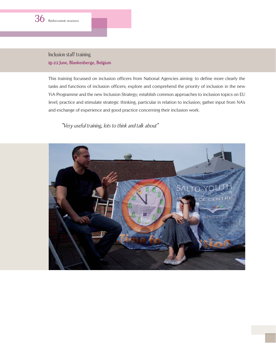

Inclusion staff training **18-22 June, Blankenberge, Belgium**

This training focussed on inclusion officers from National Agencies aiming: to define more clearly the tasks and functions of inclusion officers; explore and comprehend the priority of inclusion in the new YiA Programme and the new Inclusion Strategy; establish common approaches to inclusion topics on EU level; practice and stimulate strategic thinking, particular in relation to inclusion; gather input from NA's and exchange of experience and good practice concerning their inclusion work.

#### "Very useful training, lots to think and talk about"

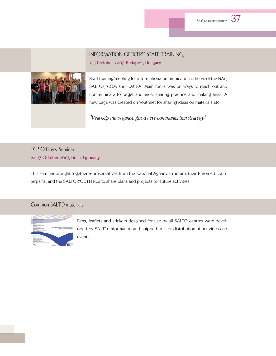## INFORMATION OFFICERS' STAFF TRAINING **2-5 October 2007, Budapest, Hungary**



Staff training/meeting for information/communication officers of the NAs, SALTOs, COM and EACEA. Main focus was on ways to reach out and communicate to target audience, sharing practice and making links. A new page was created on Youthnet for sharing ideas on materials etc.

"Will help me organise good new communication strategy"

## TCP Officers' Seminar **24-27 October 2007, Bonn, Germany**

This seminar brought together representatives from the National Agency structure, their Euromed counterparts, and the SALTO-YOUTH RCs to share plans and projects for future activities.

#### Common SALTO materials



Pens, leaflets and stickers designed for use by all SALTO centres were developed by SALTO Information and shipped out for distribution at activities and events.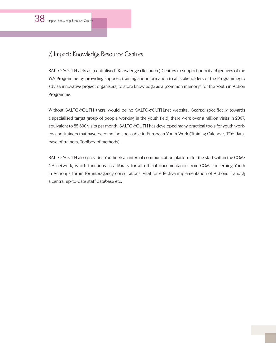## 7) Impact: Knowledge Resource Centres

SALTO-YOUTH acts as "centralised" Knowledge (Resource) Centres to support priority objectives of the YiA Programme by providing support, training and information to all stakeholders of the Programme; to advise innovative project organisers; to store knowledge as a "common memory" for the Youth in Action Programme.

Without SALTO-YOUTH there would be no SALTO-YOUTH.net website. Geared specifically towards a specialised target group of people working in the youth field, there were over a million visits in 2007, equivalent to 85,600 visits per month. SALTO-YOUTH has developed many practical tools for youth workers and trainers that have become indispensable in European Youth Work (Training Calendar, TOY database of trainers, Toolbox of methods).

SALTO-YOUTH also provides Youthnet: an internal communication platform for the staff within the COM/ NA network, which functions as a library for all official documentation from COM concerning Youth in Action; a forum for interagency consultations, vital for effective implementation of Actions 1 and 2; a central up-to-date staff database etc.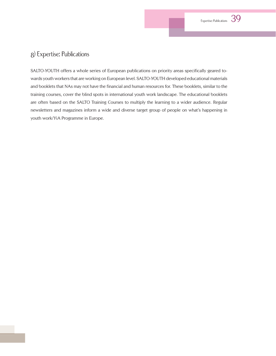## 8) Expertise: Publications

SALTO-YOUTH offers a whole series of European publications on priority areas specifically geared towards youth workers that are working on European level. SALTO-YOUTH developed educational materials and booklets that NAs may not have the financial and human resources for. These booklets, similar to the training courses, cover the blind spots in international youth work landscape. The educational booklets are often based on the SALTO Training Courses to multiply the learning to a wider audience. Regular newsletters and magazines inform a wide and diverse target group of people on what's happening in youth work/YiA Programme in Europe.